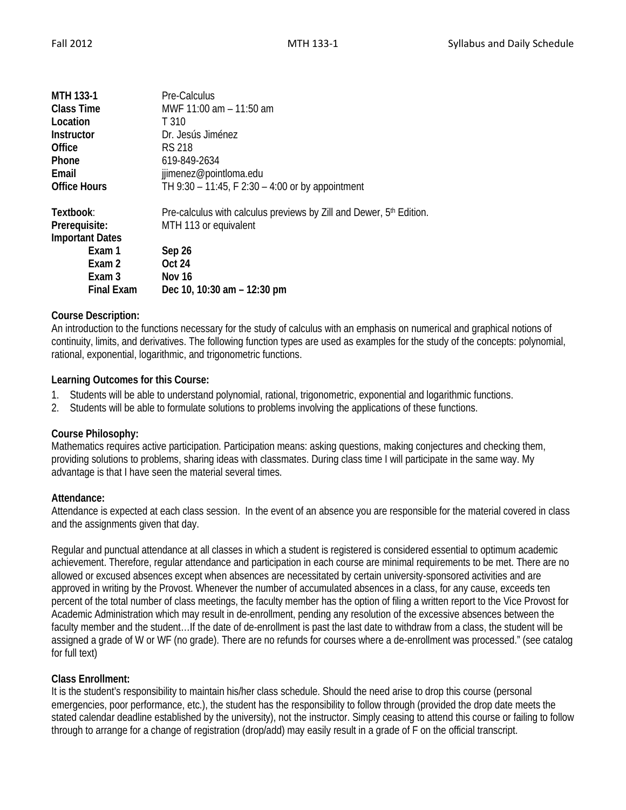| MTH 133-1              | Pre-Calculus                                                        |
|------------------------|---------------------------------------------------------------------|
| <b>Class Time</b>      | MWF 11:00 am - 11:50 am                                             |
| Location               | T 310                                                               |
| Instructor             | Dr. Jesús Jiménez                                                   |
| Office                 | <b>RS 218</b>                                                       |
| Phone                  | 619-849-2634                                                        |
| Email                  | jjimenez@pointloma.edu                                              |
| <b>Office Hours</b>    | TH 9:30 - 11:45, F 2:30 - 4:00 or by appointment                    |
| Textbook:              | Pre-calculus with calculus previews by Zill and Dewer, 5th Edition. |
| Prerequisite:          | MTH 113 or equivalent                                               |
| <b>Important Dates</b> |                                                                     |
| Exam 1                 | Sep 26                                                              |
| Exam 2                 | <b>Oct 24</b>                                                       |
| Exam 3                 | Nov 16                                                              |
| <b>Final Exam</b>      | Dec 10, 10:30 am - 12:30 pm                                         |

## **Course Description:**

An introduction to the functions necessary for the study of calculus with an emphasis on numerical and graphical notions of continuity, limits, and derivatives. The following function types are used as examples for the study of the concepts: polynomial, rational, exponential, logarithmic, and trigonometric functions.

## **Learning Outcomes for this Course:**

- 1. Students will be able to understand polynomial, rational, trigonometric, exponential and logarithmic functions.
- 2. Students will be able to formulate solutions to problems involving the applications of these functions.

### **Course Philosophy:**

Mathematics requires active participation. Participation means: asking questions, making conjectures and checking them, providing solutions to problems, sharing ideas with classmates. During class time I will participate in the same way. My advantage is that I have seen the material several times.

### **Attendance:**

Attendance is expected at each class session. In the event of an absence you are responsible for the material covered in class and the assignments given that day.

Regular and punctual attendance at all classes in which a student is registered is considered essential to optimum academic achievement. Therefore, regular attendance and participation in each course are minimal requirements to be met. There are no allowed or excused absences except when absences are necessitated by certain university-sponsored activities and are approved in writing by the Provost. Whenever the number of accumulated absences in a class, for any cause, exceeds ten percent of the total number of class meetings, the faculty member has the option of filing a written report to the Vice Provost for Academic Administration which may result in de-enrollment, pending any resolution of the excessive absences between the faculty member and the student…If the date of de-enrollment is past the last date to withdraw from a class, the student will be assigned a grade of W or WF (no grade). There are no refunds for courses where a de-enrollment was processed." (see catalog for full text)

### **Class Enrollment:**

It is the student's responsibility to maintain his/her class schedule. Should the need arise to drop this course (personal emergencies, poor performance, etc.), the student has the responsibility to follow through (provided the drop date meets the stated calendar deadline established by the university), not the instructor. Simply ceasing to attend this course or failing to follow through to arrange for a change of registration (drop/add) may easily result in a grade of F on the official transcript.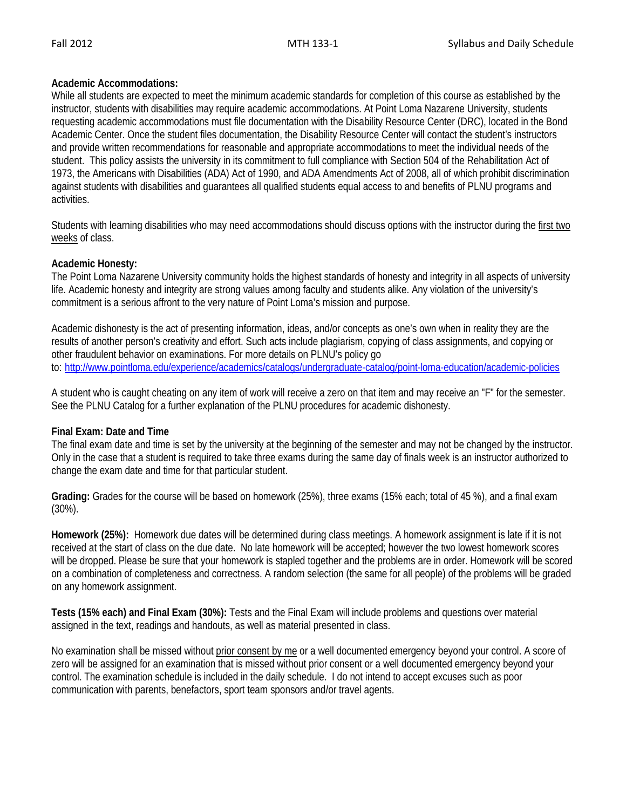#### **Academic Accommodations:**

While all students are expected to meet the minimum academic standards for completion of this course as established by the instructor, students with disabilities may require academic accommodations. At Point Loma Nazarene University, students requesting academic accommodations must file documentation with the Disability Resource Center (DRC), located in the Bond Academic Center. Once the student files documentation, the Disability Resource Center will contact the student's instructors and provide written recommendations for reasonable and appropriate accommodations to meet the individual needs of the student. This policy assists the university in its commitment to full compliance with Section 504 of the Rehabilitation Act of 1973, the Americans with Disabilities (ADA) Act of 1990, and ADA Amendments Act of 2008, all of which prohibit discrimination against students with disabilities and guarantees all qualified students equal access to and benefits of PLNU programs and activities.

Students with learning disabilities who may need accommodations should discuss options with the instructor during the first two weeks of class.

### **Academic Honesty:**

The Point Loma Nazarene University community holds the highest standards of honesty and integrity in all aspects of university life. Academic honesty and integrity are strong values among faculty and students alike. Any violation of the university's commitment is a serious affront to the very nature of Point Loma's mission and purpose.

Academic dishonesty is the act of presenting information, ideas, and/or concepts as one's own when in reality they are the results of another person's creativity and effort. Such acts include plagiarism, copying of class assignments, and copying or other fraudulent behavior on examinations. For more details on PLNU's policy go to: <http://www.pointloma.edu/experience/academics/catalogs/undergraduate-catalog/point-loma-education/academic-policies>

A student who is caught cheating on any item of work will receive a zero on that item and may receive an "F" for the semester. See the PLNU Catalog for a further explanation of the PLNU procedures for academic dishonesty.

### **Final Exam: Date and Time**

The final exam date and time is set by the university at the beginning of the semester and may not be changed by the instructor. Only in the case that a student is required to take three exams during the same day of finals week is an instructor authorized to change the exam date and time for that particular student.

**Grading:** Grades for the course will be based on homework (25%), three exams (15% each; total of 45 %), and a final exam (30%).

**Homework (25%):** Homework due dates will be determined during class meetings. A homework assignment is late if it is not received at the start of class on the due date. No late homework will be accepted; however the two lowest homework scores will be dropped. Please be sure that your homework is stapled together and the problems are in order. Homework will be scored on a combination of completeness and correctness. A random selection (the same for all people) of the problems will be graded on any homework assignment.

**Tests (15% each) and Final Exam (30%):** Tests and the Final Exam will include problems and questions over material assigned in the text, readings and handouts, as well as material presented in class.

No examination shall be missed without prior consent by me or a well documented emergency beyond your control. A score of zero will be assigned for an examination that is missed without prior consent or a well documented emergency beyond your control. The examination schedule is included in the daily schedule. I do not intend to accept excuses such as poor communication with parents, benefactors, sport team sponsors and/or travel agents.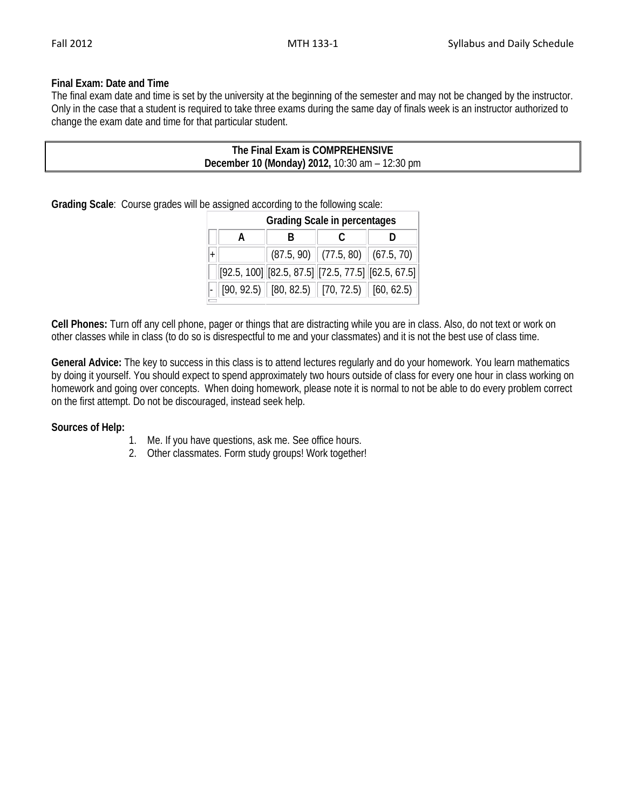## **Final Exam: Date and Time**

The final exam date and time is set by the university at the beginning of the semester and may not be changed by the instructor. Only in the case that a student is required to take three exams during the same day of finals week is an instructor authorized to change the exam date and time for that particular student.

# **The Final Exam is COMPREHENSIVE December 10 (Monday) 2012,** 10:30 am – 12:30 pm

**Grading Scale**: Course grades will be assigned according to the following scale:

| <b>Grading Scale in percentages</b> |                                                      |  |                                                    |  |
|-------------------------------------|------------------------------------------------------|--|----------------------------------------------------|--|
|                                     | R                                                    |  |                                                    |  |
| $+$                                 |                                                      |  | $(87.5, 90)$ $(77.5, 80)$ $(67.5, 70)$ $\parallel$ |  |
|                                     | $[92.5, 100]$ [82.5, 87.5] [72.5, 77.5] [62.5, 67.5] |  |                                                    |  |
|                                     | $[90, 92.5]$ $[80, 82.5]$ $[70, 72.5]$ $[60, 62.5]$  |  |                                                    |  |

**Cell Phones:** Turn off any cell phone, pager or things that are distracting while you are in class. Also, do not text or work on other classes while in class (to do so is disrespectful to me and your classmates) and it is not the best use of class time.

**General Advice:** The key to success in this class is to attend lectures regularly and do your homework. You learn mathematics by doing it yourself. You should expect to spend approximately two hours outside of class for every one hour in class working on homework and going over concepts. When doing homework, please note it is normal to not be able to do every problem correct on the first attempt. Do not be discouraged, instead seek help.

### **Sources of Help:**

- 1. Me. If you have questions, ask me. See office hours.
- 2. Other classmates. Form study groups! Work together!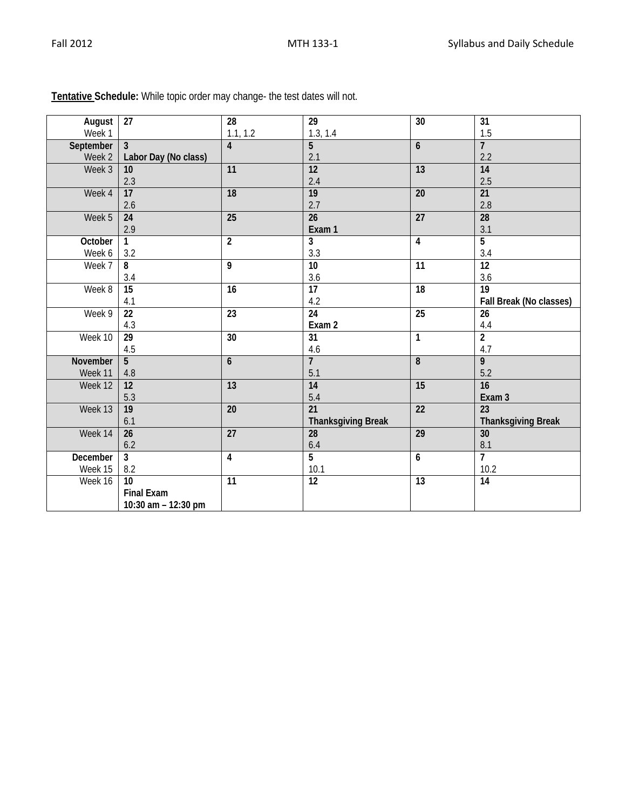| August    | 27                   | $\overline{28}$ | $\overline{29}$           | $\overline{30}$         | $\overline{31}$           |
|-----------|----------------------|-----------------|---------------------------|-------------------------|---------------------------|
| Week 1    |                      | 1.1, 1.2        | 1.3, 1.4                  |                         | 1.5                       |
| September | $\overline{3}$       | $\overline{4}$  | 5                         | $\boldsymbol{6}$        | $\overline{7}$            |
| Week 2    | Labor Day (No class) |                 | 2.1                       |                         | 2.2                       |
| Week 3    | 10                   | 11              | $\overline{12}$           | 13                      | $\overline{14}$           |
|           | 2.3                  |                 | 2.4                       |                         | 2.5                       |
| Week 4    | 17                   | 18              | 19                        | $\overline{20}$         | $\overline{21}$           |
|           | 2.6                  |                 | 2.7                       |                         | 2.8                       |
| Week 5    | $\overline{24}$      | $\overline{25}$ | $\overline{26}$           | $\overline{27}$         | $\overline{28}$           |
|           | 2.9                  |                 | Exam 1                    |                         | 3.1                       |
| October   | 1                    | $\overline{2}$  | $\overline{3}$            | $\overline{\mathbf{4}}$ | $\overline{5}$            |
| Week 6    | 3.2                  |                 | 3.3                       |                         | 3.4                       |
| Week 7    | 8                    | 9               | 10                        | $\overline{11}$         | $\overline{12}$           |
|           | 3.4                  |                 | 3.6                       |                         | 3.6                       |
| Week 8    | $\overline{15}$      | $\overline{16}$ | $\overline{17}$           | 18                      | $\overline{19}$           |
|           | 4.1                  |                 | 4.2                       |                         | Fall Break (No classes)   |
| Week 9    | 22                   | $\overline{23}$ | $\overline{24}$           | $\overline{25}$         | 26                        |
|           | 4.3                  |                 | Exam 2                    |                         | $4.4\,$                   |
| Week 10   | $\overline{29}$      | $\overline{30}$ | 31                        | $\mathbf{1}$            | $\overline{2}$            |
|           | 4.5                  |                 | 4.6                       |                         | 4.7                       |
| November  | $\overline{5}$       | 6               | $\overline{7}$            | $\bf 8$                 | $\overline{9}$            |
| Week 11   | 4.8                  |                 | 5.1                       |                         | 5.2                       |
| Week 12   | $\overline{12}$      | 13              | $\overline{14}$           | $\overline{15}$         | $\overline{16}$           |
|           | 5.3                  |                 | 5.4                       |                         | Exam 3                    |
| Week 13   | 19                   | 20              | $\overline{21}$           | $\overline{22}$         | $\overline{23}$           |
|           | 6.1                  |                 | <b>Thanksgiving Break</b> |                         | <b>Thanksgiving Break</b> |
| Week 14   | $\overline{26}$      | $\overline{27}$ | $\overline{28}$           | $\overline{29}$         | $\overline{30}$           |
|           | 6.2                  |                 | 6.4                       |                         | 8.1                       |
| December  | $\overline{3}$       | 4               | $\overline{5}$            | $\boldsymbol{6}$        | $\overline{7}$            |
| Week 15   | 8.2                  |                 | 10.1                      |                         | 10.2                      |
| Week 16   | 10                   | 11              | 12                        | $\overline{13}$         | $\overline{14}$           |
|           | <b>Final Exam</b>    |                 |                           |                         |                           |
|           | 10:30 am - 12:30 pm  |                 |                           |                         |                           |

**Tentative Schedule:** While topic order may change- the test dates will not.